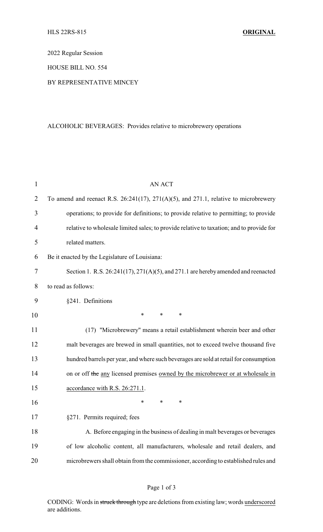2022 Regular Session

HOUSE BILL NO. 554

BY REPRESENTATIVE MINCEY

## ALCOHOLIC BEVERAGES: Provides relative to microbrewery operations

| $\mathbf{1}$   | <b>AN ACT</b>                                                                                 |
|----------------|-----------------------------------------------------------------------------------------------|
| $\overline{2}$ | To amend and reenact R.S. $26:241(17)$ , $271(A)(5)$ , and $271.1$ , relative to microbrewery |
| 3              | operations; to provide for definitions; to provide relative to permitting; to provide         |
| 4              | relative to wholesale limited sales; to provide relative to taxation; and to provide for      |
| 5              | related matters.                                                                              |
| 6              | Be it enacted by the Legislature of Louisiana:                                                |
| 7              | Section 1. R.S. $26:241(17)$ , $271(A)(5)$ , and $271.1$ are hereby amended and reenacted     |
| 8              | to read as follows:                                                                           |
| 9              | §241. Definitions                                                                             |
| 10             | ∗<br>∗<br>$\ast$                                                                              |
| 11             | (17) "Microbrewery" means a retail establishment wherein beer and other                       |
| 12             | malt beverages are brewed in small quantities, not to exceed twelve thousand five             |
| 13             | hundred barrels per year, and where such beverages are sold at retail for consumption         |
| 14             | on or off the any licensed premises owned by the microbrewer or at wholesale in               |
| 15             | accordance with R.S. 26:271.1.                                                                |
| 16             | *<br>∗<br>∗                                                                                   |
| 17             | §271. Permits required; fees                                                                  |
| 18             | A. Before engaging in the business of dealing in malt beverages or beverages                  |
| 19             | of low alcoholic content, all manufacturers, wholesale and retail dealers, and                |
| 20             | microbrewers shall obtain from the commissioner, according to established rules and           |

CODING: Words in struck through type are deletions from existing law; words underscored are additions.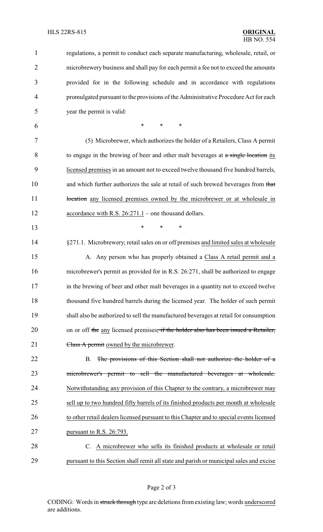| $\mathbf{1}$   | regulations, a permit to conduct each separate manufacturing, wholesale, retail, or      |
|----------------|------------------------------------------------------------------------------------------|
| $\overline{2}$ | microbrewery business and shall pay for each permit a fee not to exceed the amounts      |
| 3              | provided for in the following schedule and in accordance with regulations                |
| 4              | promulgated pursuant to the provisions of the Administrative Procedure Act for each      |
| 5              | year the permit is valid:                                                                |
| 6              | *<br>$\ast$<br>∗                                                                         |
| 7              | (5) Microbrewer, which authorizes the holder of a Retailers, Class A permit              |
| 8              | to engage in the brewing of beer and other malt beverages at a single location its       |
| 9              | licensed premises in an amount not to exceed twelve thousand five hundred barrels,       |
| 10             | and which further authorizes the sale at retail of such brewed beverages from that       |
| 11             | bocation any licensed premises owned by the microbrewer or at wholesale in               |
| 12             | accordance with R.S. $26:271.1$ – one thousand dollars.                                  |
| 13             | $\ast$<br>∗<br>∗                                                                         |
| 14             | §271.1. Microbrewery; retail sales on or off premises and limited sales at wholesale     |
| 15             | A. Any person who has properly obtained a Class A retail permit and a                    |
| 16             | microbrewer's permit as provided for in R.S. 26:271, shall be authorized to engage       |
| 17             | in the brewing of beer and other malt beverages in a quantity not to exceed twelve       |
| 18             | thousand five hundred barrels during the licensed year. The holder of such permit        |
| 19             | shall also be authorized to sell the manufactured beverages at retail for consumption    |
| 20             | on or off the any licensed premises, if the holder also has been issued a Retailer,      |
| 21             | Class A permit owned by the microbrewer.                                                 |
| 22             | The provisions of this Section shall not authorize the holder of a<br><b>B.</b>          |
| 23             | microbrewer's permit to sell the manufactured beverages at wholesale.                    |
| 24             | Notwithstanding any provision of this Chapter to the contrary, a microbrewer may         |
| 25             | sell up to two hundred fifty barrels of its finished products per month at wholesale     |
| 26             | to other retail dealers licensed pursuant to this Chapter and to special events licensed |
| 27             | pursuant to R.S. 26:793.                                                                 |
| 28             | C. A microbrewer who sells its finished products at wholesale or retail                  |
| 29             | pursuant to this Section shall remit all state and parish or municipal sales and excise  |